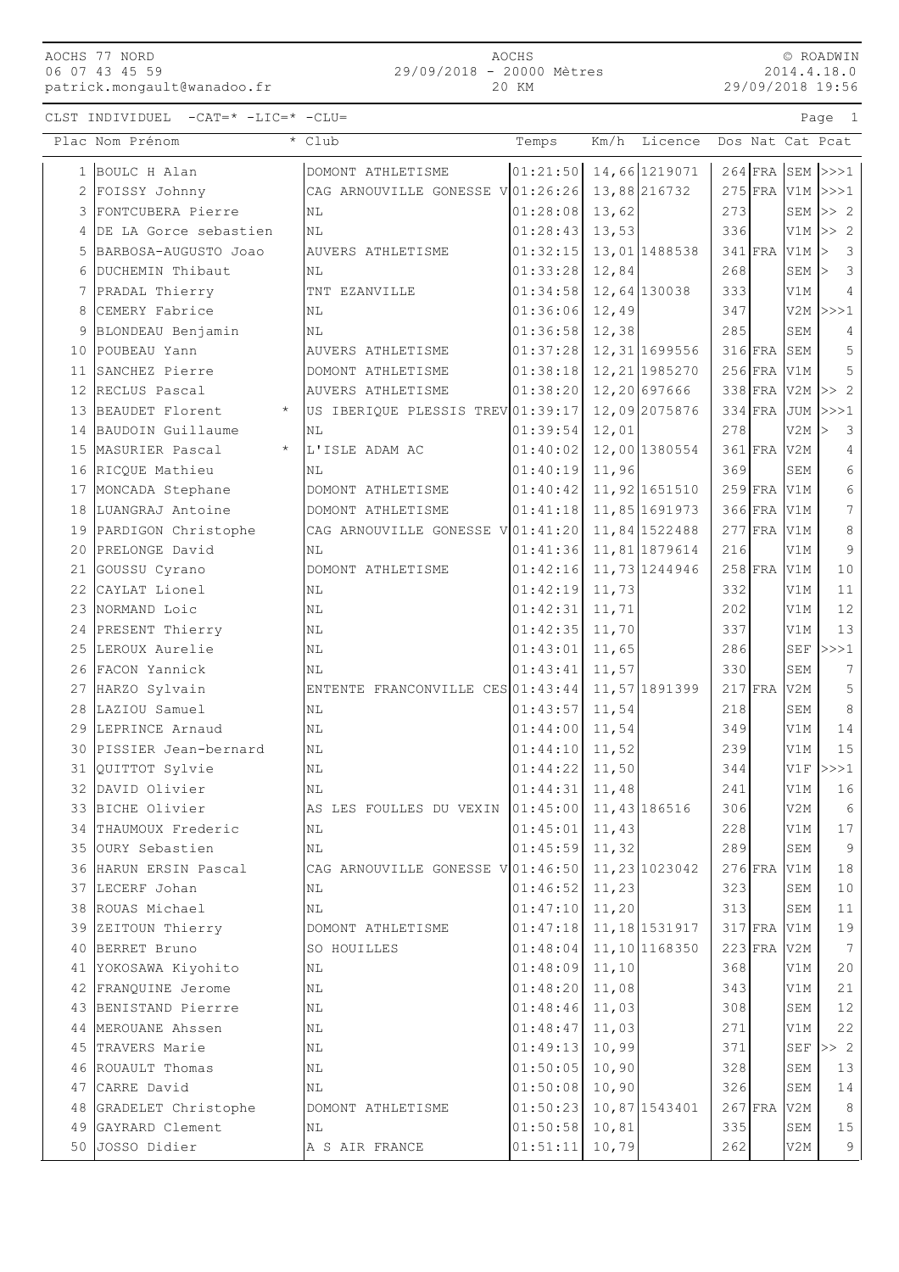AOCHS 77 NORD 06 07 43 45 59 patrick.mongault@wanadoo.fr

CLST INDIVIDUEL -CAT=\* -LIC=\* -CLU= Page 1

|                           | AOCHS |  |
|---------------------------|-------|--|
| 29/09/2018 - 20000 Mètres |       |  |
|                           | 20 KM |  |

© ROADWIN 2014.4.18.0 29/09/2018 19:56

|    | Plac Nom Prénom                           | * Club                                          | Temps                | Km/h<br>Licence            | Dos Nat Cat Pcat    |             |                         |
|----|-------------------------------------------|-------------------------------------------------|----------------------|----------------------------|---------------------|-------------|-------------------------|
|    | 1 BOULC H Alan                            | DOMONT ATHLETISME                               |                      | $ 01:21:50 $ 14,66 1219071 | $264$ FRA SEM $>>1$ |             |                         |
| 2  | FOISSY Johnny                             | CAG ARNOUVILLE GONESSE V 01:26:26               |                      | 13,88 216732               | $275$ FRA           |             | $V1M$ $>>$ $1$          |
| 3  | FONTCUBERA Pierre                         | NL                                              | 01:28:08             | 13,62                      | 273                 |             | SEM $ >> 2$             |
| 4  | DE LA Gorce sebastien                     | NL                                              | 01:28:43             | 13,53                      | 336                 |             | $V1M \gg 2$             |
| 5  | BARBOSA-AUGUSTO Joao                      | AUVERS ATHLETISME                               | 01:32:15             | 13,01 1488538              | $341$ FRA           | $V1M$ >     | 3                       |
| 6  | DUCHEMIN Thibaut                          | ΝL                                              | 01:33:28             | 12,84                      | 268                 | $SEM$ >     | $\overline{\mathbf{3}}$ |
| 7  | PRADAL Thierry                            | TNT EZANVILLE                                   | 01:34:58             | 12,64 130038               | 333                 | V1M         | $\overline{4}$          |
| 8  | CEMERY Fabrice                            | NL                                              | 01:36:06             | 12,49                      | 347                 |             | $V2M$ >>>1              |
| 9  | BLONDEAU Benjamin                         | NL                                              | 01:36:58             | 12,38                      | 285                 | SEM         | 4                       |
|    | 10 POUBEAU Yann                           | AUVERS ATHLETISME                               | 01:37:28             | 12,31 1699556              | $316$ FRA           | SEM         | 5                       |
|    | 11 SANCHEZ Pierre                         | DOMONT ATHLETISME                               | 01:38:18             | 12, 21 1985270             | $256$ FRA           | V1M         | 5                       |
|    | 12 RECLUS Pascal                          | AUVERS ATHLETISME                               | 01:38:20             | 12,20 697666               | 338 FRA V2M >> 2    |             |                         |
| 13 | BEAUDET Florent<br>$\star$                | US IBERIQUE PLESSIS TREV 01:39:17               |                      | 12,09 2075876              | $334$ FRA           |             | $JUM$ >>>1              |
| 14 | BAUDOIN Guillaume                         | N <sub>L</sub>                                  | 01:39:54             | 12,01                      | 278                 | $V2M$ >     | 3                       |
| 15 | $\star$<br>MASURIER Pascal                | L'ISLE ADAM AC                                  | 01:40:02             | 12,00 1380554              | $361$ FRA           | V2M         | $\overline{4}$          |
|    | 16 RICQUE Mathieu                         | NL                                              | 01:40:19             | 11,96                      | 369                 | SEM         | 6                       |
|    | 17 MONCADA Stephane                       | DOMONT ATHLETISME                               | 01:40:42             | 11,92 1651510              | $259$ FRA           | V1M         | 6                       |
|    | 18 LUANGRAJ Antoine                       | DOMONT ATHLETISME                               | 01:41:18             | 11,85 1691973              | 366 FRA             | V1M         | 7                       |
|    | 19 PARDIGON Christophe                    | CAG ARNOUVILLE GONESSE V 01:41:20               |                      | 11,84 1522488              | $277$ FRA           | V1M         | 8                       |
|    | 20 PRELONGE David                         | NL                                              | 01:41:36             | 11,81 1879614              | 216                 | V1M         | 9                       |
| 21 | GOUSSU Cyrano                             | DOMONT ATHLETISME                               | 01:42:16             | 11,73 1244946              | $258$ FRA           | V1M         | 10                      |
| 22 | CAYLAT Lionel                             | ΝL                                              | 01:42:19             | 11,73                      | 332                 | V1M         | 11                      |
| 23 | NORMAND Loic                              | NL                                              | 01:42:31             | 11, 71                     | 202                 | V1M         | 12                      |
|    | 24 PRESENT Thierry                        | NL                                              | 01:42:35             | 11,70                      | 337                 | V1M         | 13                      |
|    | 25 LEROUX Aurelie                         | ΝL                                              | 01:43:01             | 11,65                      | 286                 | SEF         | >>>1                    |
|    | 26 FACON Yannick                          | ΝL                                              | 01:43:41             | 11,57                      | 330                 | SEM         | 7                       |
|    | 27 HARZO Sylvain                          | ENTENTE FRANCONVILLE CES 01:43:44               |                      | 11,57 1891399              | $217$ FRA           | V2M         | 5                       |
|    | 28 LAZIOU Samuel                          | NL                                              | 01:43:57             | 11,54                      | 218                 | ${\tt SEM}$ | 8                       |
|    | 29 LEPRINCE Arnaud                        | ΝL                                              | 01:44:00             | 11,54                      | 349                 | V1M         | 14                      |
|    | 30 PISSIER Jean-bernard                   | ΝL                                              | 01:44:10             | 11,52                      | 239                 | V1M         | 15                      |
|    | 31 QUITTOT Sylvie                         | NL                                              | 01:44:22             | 11,50                      | 344                 | V1F         | >>>1                    |
| 32 | DAVID Olivier                             | NL                                              | 01:44:31             | 11,48                      | 241                 | V1M         | 16                      |
|    | 33 BICHE Olivier                          | AS LES FOULLES DU VEXIN 01:45:00 11,43 186516   |                      |                            | 306                 | V2M         | 6                       |
|    | 34 THAUMOUX Frederic<br>35 OURY Sebastien | NL<br>$\rm NL$                                  | 01:45:01<br>01:45:59 | 11,43<br>11,32             | 228<br>289          | V1M<br>SEM  | 17<br>9                 |
|    | 36 HARUN ERSIN Pascal                     | CAG ARNOUVILLE GONESSE V 01:46:50 11,23 1023042 |                      |                            | $276$ FRA           | V1M         | 18                      |
|    | 37 LECERF Johan                           | ΝL                                              | 01:46:52             | 11,23                      | 323                 | SEM         | 10                      |
| 38 | ROUAS Michael                             | NL                                              | 01:47:10             | 11,20                      | 313                 | SEM         | 11                      |
| 39 | ZEITOUN Thierry                           | DOMONT ATHLETISME                               | 01:47:18             | 11, 18 1531917             | $317$ FRA           | V1M         | 19                      |
|    | 40 BERRET Bruno                           | SO HOUILLES                                     | 01:48:04             | 11,10 1168350              | $223$ FRA           | V2M         | 7                       |
|    | 41 YOKOSAWA Kiyohito                      | ΝL                                              | 01:48:09             | 11,10                      | 368                 | V1M         | 20                      |
|    | 42 FRANQUINE Jerome                       | NL                                              | 01:48:20             | 11,08                      | 343                 | V1M         | 21                      |
| 43 | BENISTAND Pierrre                         | NL                                              | 01:48:46             | 11,03                      | 308                 | SEM         | 12                      |
|    | 44 MEROUANE Ahssen                        | ΝL                                              | 01:48:47             | 11,03                      | 271                 | V1M         | 22                      |
|    | 45 TRAVERS Marie                          | ΝL                                              | 01:49:13             | 10,99                      | 371                 | SEF         | >> 2                    |
|    | 46 ROUAULT Thomas                         | NL                                              | 01:50:05             | 10,90                      | 328                 | SEM         | 13                      |
| 47 | CARRE David                               | ΝL                                              | 01:50:08             | 10,90                      | 326                 | SEM         | 14                      |
| 48 | GRADELET Christophe                       | DOMONT ATHLETISME                               | 01:50:23             | 10,87 1543401              | $267$ FRA           | V2M         | 8                       |
| 49 | GAYRARD Clement                           | ΝL                                              | 01:50:58             | 10,81                      | 335                 | SEM         | 15                      |
| 50 | JOSSO Didier                              | A S AIR FRANCE                                  | 01:51:11             | 10,79                      | 262                 | V2M         | 9                       |
|    |                                           |                                                 |                      |                            |                     |             |                         |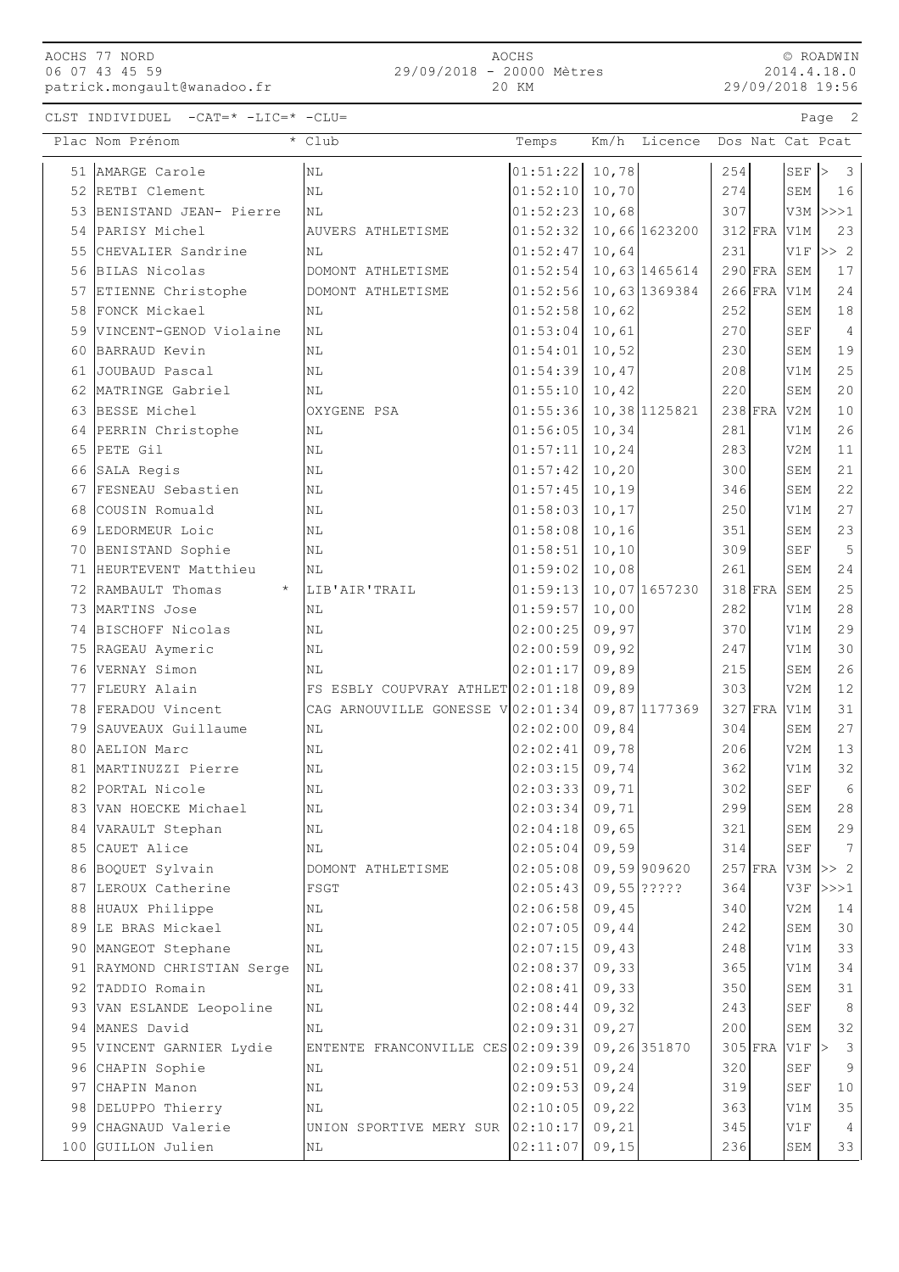| AOCHS 77 NORD  |  |                          |
|----------------|--|--------------------------|
| 06 07 43 45 59 |  |                          |
|                |  | patrick.mongault@wanadoo |

|    | AOCHS 77 NORD<br>06 07 43 45 59     | 29/09/2018 - 20000 Mètres                       | AOCHS            |               |               |     |               |               | © ROADWIN<br>2014.4.18.0           |
|----|-------------------------------------|-------------------------------------------------|------------------|---------------|---------------|-----|---------------|---------------|------------------------------------|
|    | patrick.mongault@wanadoo.fr         |                                                 | 20 KM            |               |               |     |               |               | 29/09/2018 19:56                   |
|    | CLST INDIVIDUEL -CAT=* -LIC=* -CLU= |                                                 |                  |               |               |     |               |               | $\overline{\phantom{0}}^2$<br>Page |
|    | Plac Nom Prénom                     | * Club                                          | Temps            | Km/h          | Licence       |     |               |               | Dos Nat Cat Pcat                   |
|    | 51 AMARGE Carole                    | <b>NL</b>                                       | 01:51:22         | 10,78         |               | 254 |               | $SEF$ >       | 3                                  |
|    | 52 RETBI Clement                    | NL                                              | 01:52:10         | 10,70         |               | 274 |               | SEM           | 16                                 |
| 53 | BENISTAND JEAN- Pierre              | NL                                              | 01:52:23         | 10,68         |               | 307 |               |               | $V3M$ $>>$ 1                       |
| 54 | PARISY Michel                       | AUVERS ATHLETISME                               | 01:52:32         |               | 10,66 1623200 |     | $312$ FRA     | V1M           | 23                                 |
| 55 | CHEVALIER Sandrine                  | <b>NL</b>                                       | 01:52:47         | 10,64         |               | 231 |               |               | $V1F$ $>>$ 2                       |
|    | 56 BILAS Nicolas                    | DOMONT ATHLETISME                               | 01:52:54         |               | 10,63 1465614 |     |               | $290$ FRA SEM | 17                                 |
| 57 | ETIENNE Christophe                  | DOMONT ATHLETISME                               | 01:52:56         |               | 10,63 1369384 |     | $266$ FRA V1M |               | 24                                 |
| 58 | FONCK Mickael                       | ΝL                                              | 01:52:58         | 10,62         |               | 252 |               | SEM           | 18                                 |
| 59 | VINCENT-GENOD Violaine              | NL                                              | 01:53:04         | 10,61         |               | 270 |               | SEF           | 4                                  |
| 60 | BARRAUD Kevin                       | NL                                              | 01:54:01         | 10,52         |               | 230 |               | SEM           | 19                                 |
| 61 | JOUBAUD Pascal                      | NL                                              | 01:54:39         | 10,47         |               | 208 |               | V1M           | 25                                 |
| 62 | MATRINGE Gabriel                    | ΝL                                              | 01:55:10         | 10,42         |               | 220 |               | SEM           | 20                                 |
| 63 | BESSE Michel                        | OXYGENE PSA                                     | 01:55:36         |               | 10,38 1125821 |     | $238$ FRA V2M |               | 10                                 |
| 64 | PERRIN Christophe                   | NL                                              | 01:56:05         | 10, 34        |               | 281 |               | V1M           | 26                                 |
| 65 | PETE Gil                            | NL                                              | 01:57:11         | 10, 24        |               | 283 |               | V2M           | 11                                 |
|    | 66 SALA Regis                       | NL                                              | 01:57:42         | 10, 20        |               | 300 |               | SEM           | 21                                 |
| 67 | FESNEAU Sebastien                   | NL                                              | 01:57:45         | 10,19         |               | 346 |               | SEM           | 22                                 |
| 68 | COUSIN Romuald                      | ΝL                                              | 01:58:03         | 10, 17        |               | 250 |               | V1M           | 27                                 |
|    | 69 LEDORMEUR Loic                   | NL                                              | 01:58:08         | 10, 16        |               | 351 |               | SEM           | 23                                 |
|    | 70 BENISTAND Sophie                 | NL                                              | 01:58:51         | 10, 10        |               | 309 |               | SEF           | 5                                  |
|    | 71 HEURTEVENT Matthieu              | ΝL                                              | 01:59:02         | 10,08         |               | 261 |               | SEM           | 24                                 |
| 72 | RAMBAULT Thomas<br>$\star$          | LIB'AIR'TRAIL                                   | 01:59:13         |               | 10,07 1657230 |     | $318$ FRA     | SEM           | 25                                 |
|    | 73 MARTINS Jose                     | ΝL                                              | 01:59:57         | 10,00         |               | 282 |               | V1M           | 28                                 |
| 74 | BISCHOFF Nicolas                    | NL                                              | 02:00:25         | 09,97         |               | 370 |               | V1M           | 29                                 |
|    | 75 RAGEAU Aymeric                   | NL                                              | 02:00:59         | 09,92         |               | 247 |               | V1M           | 30                                 |
|    | 76 VERNAY Simon                     | ΝL                                              | 02:01:17         | 09,89         |               | 215 |               | SEM           | 26                                 |
| 77 | FLEURY Alain                        | FS ESBLY COUPVRAY ATHLET 02:01:18               |                  | 09,89         |               | 303 |               | V2M           | 12                                 |
| 78 | FERADOU Vincent                     | CAG ARNOUVILLE GONESSE V 02:01:34 09,87 1177369 |                  |               |               |     | 327 FRA V1M   |               | 31                                 |
|    | 79 SAUVEAUX Guillaume               | NL                                              | 02:02:00         | 09,84         |               | 304 |               | SEM           | 27                                 |
|    | 80 AELION Marc                      | NL                                              | 02:02:41         | 09,78         |               | 206 |               | V2M           | 13                                 |
|    | 81 MARTINUZZI Pierre                | NL                                              | 02:03:15         | 09,74         |               | 362 |               | V1M           | 32                                 |
|    | 82 PORTAL Nicole                    | NL                                              | 02:03:33         | 09,71         |               | 302 |               | SEF           | 6                                  |
|    | 83 VAN HOECKE Michael               | ΝL                                              | 02:03:34         | 09,71         |               | 299 |               | SEM           | 28                                 |
|    | 84 VARAULT Stephan                  | NL                                              | 02:04:18         | 09,65         |               | 321 |               | SEM           | 29                                 |
|    | 85 CAUET Alice                      | ΝL                                              | 02:05:04         | 09,59         |               | 314 |               | SEF           | 7                                  |
|    | 86 BOQUET Sylvain                   | DOMONT ATHLETISME                               | 02:05:08         |               | 09,59909620   |     |               |               | 257 FRA V3M >> 2                   |
|    | 87 LEROUX Catherine                 | FSGT                                            | 02:05:43         | $09,55$ ????? |               | 364 |               |               | V3F  >>>1                          |
|    | 88 HUAUX Philippe                   | ΝL                                              | 02:06:58         | 09,45         |               | 340 |               | V2M           | 14                                 |
|    | 89 LE BRAS Mickael                  | NL                                              | 02:07:05         | 09,44         |               | 242 |               | SEM           | 30                                 |
|    | 90 MANGEOT Stephane                 | ΝL                                              | 02:07:15         | 09,43         |               | 248 |               | V1M           | 33                                 |
|    | 91 RAYMOND CHRISTIAN Serge          | NL                                              | 02:08:37         | 09, 33        |               | 365 |               | V1M           | 34                                 |
|    | 92 TADDIO Romain                    | ΝL                                              | 02:08:41         | 09, 33        |               | 350 |               | SEM           | 31                                 |
|    | 93 VAN ESLANDE Leopoline            | ΝL                                              | $02:08:44$ 09,32 |               |               | 243 |               | ${\tt SEF}$   | 8                                  |

94 MANES David NL NL 102:09:31 09,27 200 SEM 32 95 VINCENT GARNIER Lydie ENTENTE FRANCONVILLE CES 02:09:39 09,26 351870 305 FRA V1F > 3 96 CHAPIN Sophie NL NL 02:09:51 09,24 320 SEF 9 97 CHAPIN Manon NL NL 02:09:53 09,24 319 SEF 10 98 DELUPPO Thierry NL NL 02:10:05 09,22 363 V1M 35 99 CHAGNAUD Valerie VUNION SPORTIVE MERY SUR  $|02:10:17|$  09,21 345 VIF 4 100 GUILLON Julien NL NL 02:11:07 09,15 236 SEM 33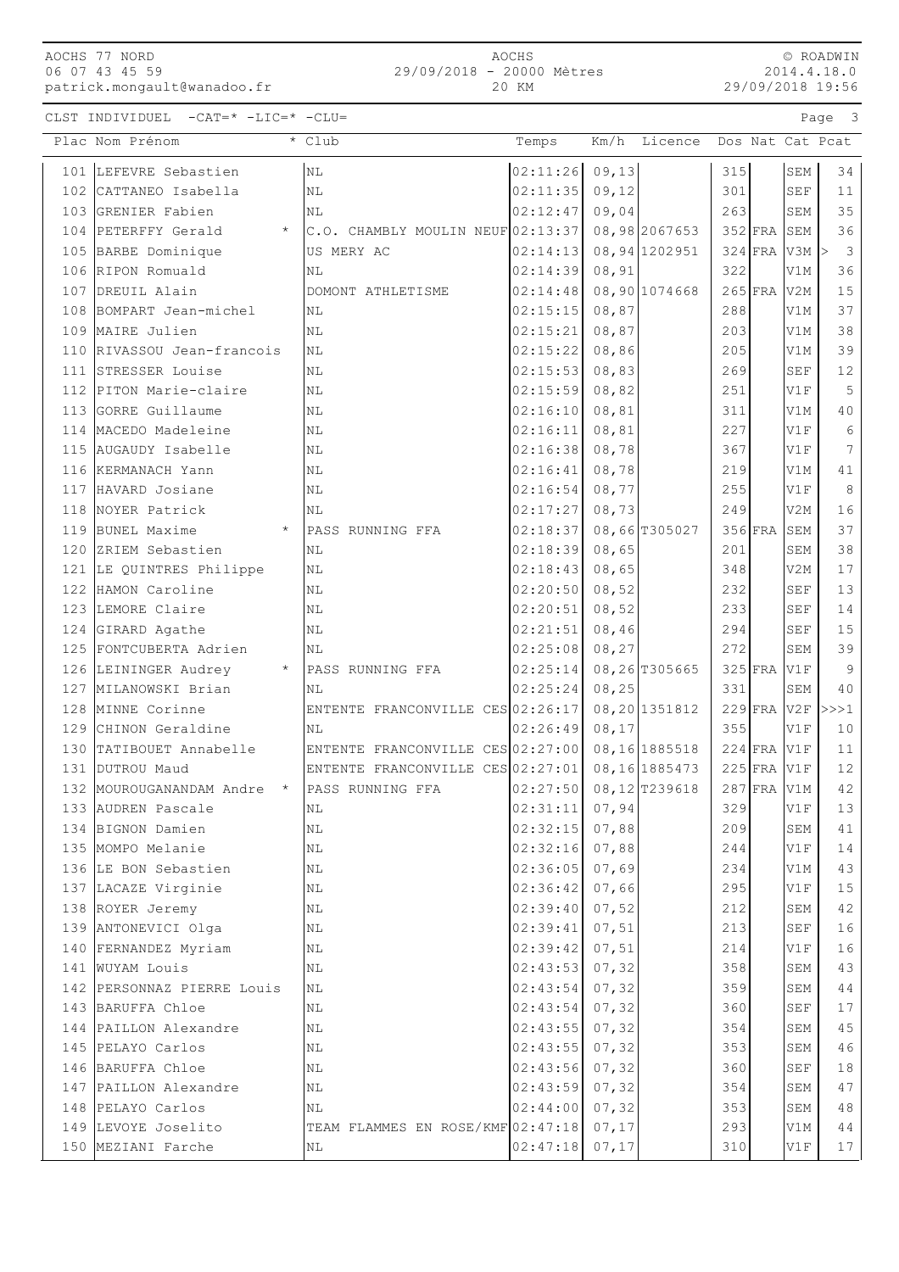AOCHS 77 NORD 06 07 43 45 59

patrick.mongault@wanadoo.fr

2014.4.18.0 29/09/2018 19:56

| $CLST$ INDIVIDUEL $-CAT=\star$ $-LIC=\star$ $-CLU=\star$ | $P$ age |  |
|----------------------------------------------------------|---------|--|
|----------------------------------------------------------|---------|--|

|     | Plac Nom Prénom                                | * Club                                | Temps                       | Km/h Licence   | Dos Nat Cat Pcat       |               |                                |                         |
|-----|------------------------------------------------|---------------------------------------|-----------------------------|----------------|------------------------|---------------|--------------------------------|-------------------------|
|     | 101 LEFEVRE Sebastien                          | N <sub>L</sub>                        | 02:11:26                    | 09, 13         | 315                    |               | SEM                            | 34                      |
| 102 | CATTANEO Isabella                              | ΝL                                    | 02:11:35                    | 09, 12         | 301                    |               | SEF                            | 11                      |
|     | 103 GRENIER Fabien                             | NL                                    | 02:12:47                    | 09,04          | 263                    |               | SEM                            | 35                      |
|     | 104 PETERFFY Gerald<br>$\star$                 | $C.O.$ CHAMBLY MOULIN NEUF $02:13:37$ |                             | 08,98 2067653  | $352$ FRA              |               | SEM                            | 36                      |
|     | 105 BARBE Dominique                            | US MERY AC                            | 02:14:13                    | 08, 94 1202951 |                        |               | $324$ FRA V3M $\triangleright$ | $\overline{\mathbf{3}}$ |
|     | 106 RIPON Romuald                              | ΝL                                    | 02:14:39                    | 08, 91         | 322                    |               | V1M                            | 36                      |
|     | 107 DREUIL Alain                               | DOMONT ATHLETISME                     | 02:14:48                    | 08,90 1074668  | $265$ FRA              |               | V <sub>2</sub> M               | 15                      |
|     | 108 BOMPART Jean-michel                        | <b>NL</b>                             | 02:15:15                    | 08,87          | 288                    |               | V1M                            | 37                      |
|     | 109 MAIRE Julien                               | ΝL                                    | 02:15:21                    | 08,87          | 203                    |               | V1M                            | 38                      |
|     | 110 RIVASSOU Jean-francois                     | ΝL                                    | 02:15:22                    | 08,86          | 205                    |               | V1M                            | 39                      |
|     | 111 STRESSER Louise                            | ΝL                                    | 02:15:53                    | 08,83          | 269                    |               | <b>SEF</b>                     | 12                      |
| 112 | PITON Marie-claire                             | ΝL                                    | 02:15:59                    | 08,82          | 251                    |               | V1F                            | 5                       |
| 113 | GORRE Guillaume                                | NL                                    | 02:16:10                    | 08,81          | 311                    |               | V1M                            | 40                      |
| 114 | MACEDO Madeleine                               | NL                                    | 02:16:11                    | 08,81          | 227                    |               | V1F                            | 6                       |
| 115 | AUGAUDY Isabelle                               | ΝL                                    | 02:16:38                    | 08,78          | 367                    |               | V1F                            | 7                       |
|     | 116 KERMANACH Yann                             | ΝL                                    | 02:16:41                    | 08,78          | 219                    |               | V1M                            | 41                      |
|     | 117 HAVARD Josiane                             | ΝL                                    | 02:16:54                    | 08,77          | 255                    |               | V1F                            | $\,8\,$                 |
|     | 118 NOYER Patrick                              | NL                                    | 02:17:27                    | 08,73          | 249                    |               | V2M                            | 16                      |
|     | 119 BUNEL Maxime<br>$\star$                    | PASS RUNNING FFA                      | 02:18:37                    | 08,66 T305027  | $356$ FRA              |               | SEM                            | 37                      |
|     | 120 ZRIEM Sebastien                            | ΝL                                    | 02:18:39                    | 08,65          | 201                    |               | SEM                            | 38                      |
|     | 121 LE QUINTRES Philippe                       | ΝL                                    | 02:18:43                    | 08,65          | 348                    |               | V2M                            | 17                      |
| 122 | HAMON Caroline                                 | ΝL                                    | 02:20:50                    | 08,52          | 232                    |               | <b>SEF</b>                     | 13                      |
| 123 | LEMORE Claire                                  | NL                                    | 02:20:51                    | 08,52          | 233                    |               | <b>SEF</b>                     | 14                      |
|     | 124 GIRARD Agathe                              | ΝL                                    | 02:21:51                    | 08,46          | 294                    |               | SEF                            | 15                      |
|     | 125 FONTCUBERTA Adrien                         | ΝL                                    | 02:25:08                    | 08, 27         | 272                    |               | SEM                            | 39                      |
|     | 126 LEININGER Audrey<br>$\star$                | PASS RUNNING FFA                      | 02:25:14                    | 08,26 T305665  | $325$ FRA              |               | V1F                            | 9                       |
|     | 127 MILANOWSKI Brian                           | ΝL                                    | 02:25:24                    | 08, 25         | 331                    |               | SEM                            | 40                      |
|     | 128 MINNE Corinne                              | ENTENTE FRANCONVILLE CES 02:26:17     |                             | 08,20 1351812  | $229$ FRA              |               | V2F                            | >>>1                    |
|     | 129 CHINON Geraldine                           | NL                                    | 02:26:49                    | 08, 17         | 355                    |               | V1F                            | 10                      |
|     | 130 TATIBOUET Annabelle                        | ENTENTE FRANCONVILLE CES 02:27:00     |                             | 08,16 1885518  |                        | $224$ FRA V1F |                                | 11                      |
|     | 131 DUTROU Maud<br>$\star$                     | ENTENTE FRANCONVILLE CES 02:27:01     |                             | 08,16 1885473  | $225$ FRA<br>$287$ FRA |               | V1F                            | 12<br>42                |
|     | 132 MOUROUGANANDAM Andre<br>133 AUDREN Pascale | PASS RUNNING FFA                      | 02:27:50<br> 02:31:11 07,94 | 08,12 T239618  | 329                    |               | V1M<br>V1F                     | 13                      |
|     | 134 BIGNON Damien                              | NL<br>ΝL                              | 02:32:15                    | 07,88          | 209                    |               | SEM                            | 41                      |
|     | 135 MOMPO Melanie                              | ΝL                                    | 02:32:16                    | 07,88          | 244                    |               | V1F                            | 14                      |
|     | 136 LE BON Sebastien                           | ΝL                                    | 02:36:05                    | 07,69          | 234                    |               | V1M                            | 43                      |
|     | 137 LACAZE Virginie                            | ΝL                                    | 02:36:42                    | 07,66          | 295                    |               | V1F                            | $15\,$                  |
|     | 138 ROYER Jeremy                               | ΝL                                    | 02:39:40                    | 07,52          | 212                    |               | SEM                            | 42                      |
|     | 139 ANTONEVICI Olga                            | ΝL                                    | 02:39:41                    | 07,51          | 213                    |               | <b>SEF</b>                     | 16                      |
|     | 140 FERNANDEZ Myriam                           | ΝL                                    | 02:39:42                    | 07,51          | 214                    |               | V1F                            | 16                      |
|     | 141 WUYAM Louis                                | ΝL                                    | 02:43:53                    | 07, 32         | 358                    |               | SEM                            | $43$                    |
|     | 142 PERSONNAZ PIERRE Louis                     | ΝL                                    | 02:43:54                    | 07, 32         | 359                    |               | SEM                            | $4\,4$                  |
|     | 143 BARUFFA Chloe                              | ΝL                                    | 02:43:54                    | 07, 32         | 360                    |               | $\operatorname{SEF}$           | $17$                    |
|     | 144 PAILLON Alexandre                          | ΝL                                    | 02:43:55                    | 07, 32         | 354                    |               | SEM                            | 45                      |
|     | 145 PELAYO Carlos                              | ΝL                                    | 02:43:55                    | 07, 32         | 353                    |               | SEM                            | 46                      |
|     | 146 BARUFFA Chloe                              | ΝL                                    | 02:43:56                    | 07, 32         | 360                    |               | SEF                            | $1\,8$                  |
|     | 147 PAILLON Alexandre                          | ΝL                                    | 02:43:59                    | 07, 32         | 354                    |               | SEM                            | $4\,7$                  |
|     | 148 PELAYO Carlos                              | ΝL                                    | 02:44:00                    | 07, 32         | 353                    |               | SEM                            | $4\,8$                  |
|     | 149 LEVOYE Joselito                            | TEAM FLAMMES EN ROSE/KMF 02:47:18     |                             | 07, 17         | 293                    |               | V1M                            | 44                      |
|     | 150 MEZIANI Farche                             | NL                                    | 02:47:18                    | 07, 17         | 310                    |               | V1F                            | 17                      |
|     |                                                |                                       |                             |                |                        |               |                                |                         |

© ROADWIN